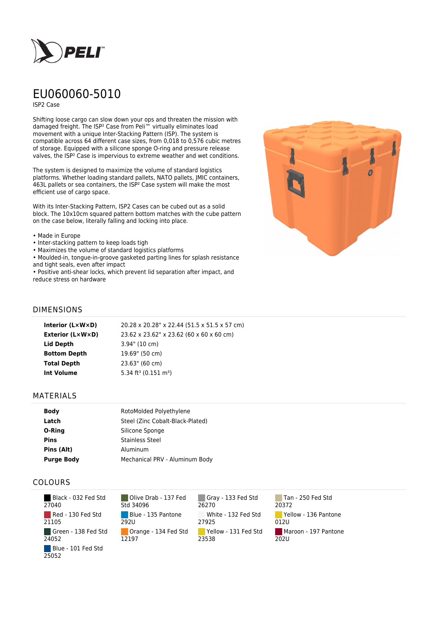

# EU060060-5010

ISP2 Case

Shifting loose cargo can slow down your ops and threaten the mission with damaged freight. The ISP² Case from Peli™ virtually eliminates load movement with a unique Inter-Stacking Pattern (ISP). The system is compatible across 64 different case sizes, from 0,018 to 0,576 cubic metres of storage. Equipped with a silicone sponge O-ring and pressure release valves, the ISP² Case is impervious to extreme weather and wet conditions.

The system is designed to maximize the volume of standard logistics platforms. Whether loading standard pallets, NATO pallets, JMIC containers, 463L pallets or sea containers, the ISP² Case system will make the most efficient use of cargo space.

With its Inter-Stacking Pattern, ISP2 Cases can be cubed out as a solid block. The 10x10cm squared pattern bottom matches with the cube pattern on the case below, literally falling and locking into place.

#### • Made in Europe

- Inter-stacking pattern to keep loads tigh
- Maximizes the volume of standard logistics platforms
- Moulded-in, tongue-in-groove gasketed parting lines for splash resistance and tight seals, even after impact

• Positive anti-shear locks, which prevent lid separation after impact, and reduce stress on hardware



## DIMENSIONS

| Interior (LxWxD)        | 20.28 x 20.28" x 22.44 (51.5 x 51.5 x 57 cm) |
|-------------------------|----------------------------------------------|
| <b>Exterior (L×W×D)</b> | 23.62 x 23.62" x 23.62 (60 x 60 x 60 cm)     |
| Lid Depth               | $3.94$ " (10 cm)                             |
| <b>Bottom Depth</b>     | 19.69" (50 cm)                               |
| <b>Total Depth</b>      | 23.63" (60 cm)                               |
| <b>Int Volume</b>       | 5.34 ft <sup>3</sup> (0.151 m <sup>3</sup> ) |
|                         |                                              |

### MATERIALS

| <b>Body</b>       | RotoMolded Polyethylene          |
|-------------------|----------------------------------|
| Latch             | Steel (Zinc Cobalt-Black-Plated) |
| O-Ring            | Silicone Sponge                  |
| <b>Pins</b>       | <b>Stainless Steel</b>           |
| Pins (Alt)        | Aluminum                         |
| <b>Purge Body</b> | Mechanical PRV - Aluminum Body   |

## COLOURS

 Black - 032 Fed Std 27040 Red - 130 Fed Std 21105 Green - 138 Fed Std 24052 Blue - 101 Fed Std 25052

Olive Drab - 137 Fed Std 34096 Blue - 135 Pantone 292U Orange - 134 Fed Std 12197

Gray - 133 Fed Std 26270 White - 132 Fed Std 27925 Yellow - 131 Fed Std 23538

Tan - 250 Fed Std 20372 Yellow - 136 Pantone 012U Maroon - 197 Pantone  $202U$